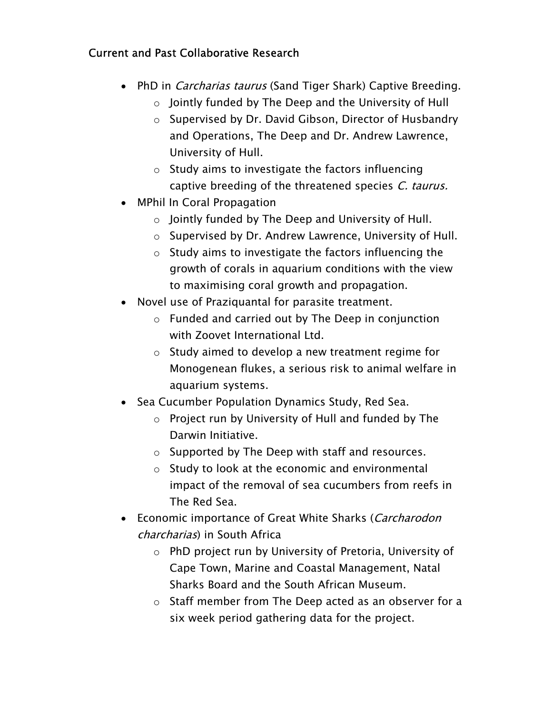## Current and Past Collaborative Research

- PhD in *Carcharias taurus* (Sand Tiger Shark) Captive Breeding.
	- o Jointly funded by The Deep and the University of Hull
	- o Supervised by Dr. David Gibson, Director of Husbandry and Operations, The Deep and Dr. Andrew Lawrence, University of Hull.
	- o Study aims to investigate the factors influencing captive breeding of the threatened species C. taurus.
- MPhil In Coral Propagation
	- o Jointly funded by The Deep and University of Hull.
	- o Supervised by Dr. Andrew Lawrence, University of Hull.
	- o Study aims to investigate the factors influencing the growth of corals in aquarium conditions with the view to maximising coral growth and propagation.
- Novel use of Praziquantal for parasite treatment.
	- o Funded and carried out by The Deep in conjunction with Zoovet International Ltd.
	- o Study aimed to develop a new treatment regime for Monogenean flukes, a serious risk to animal welfare in aquarium systems.
- Sea Cucumber Population Dynamics Study, Red Sea.
	- o Project run by University of Hull and funded by The Darwin Initiative.
	- o Supported by The Deep with staff and resources.
	- o Study to look at the economic and environmental impact of the removal of sea cucumbers from reefs in The Red Sea.
- Economic importance of Great White Sharks (Carcharodon charcharias) in South Africa
	- o PhD project run by University of Pretoria, University of Cape Town, Marine and Coastal Management, Natal Sharks Board and the South African Museum.
	- o Staff member from The Deep acted as an observer for a six week period gathering data for the project.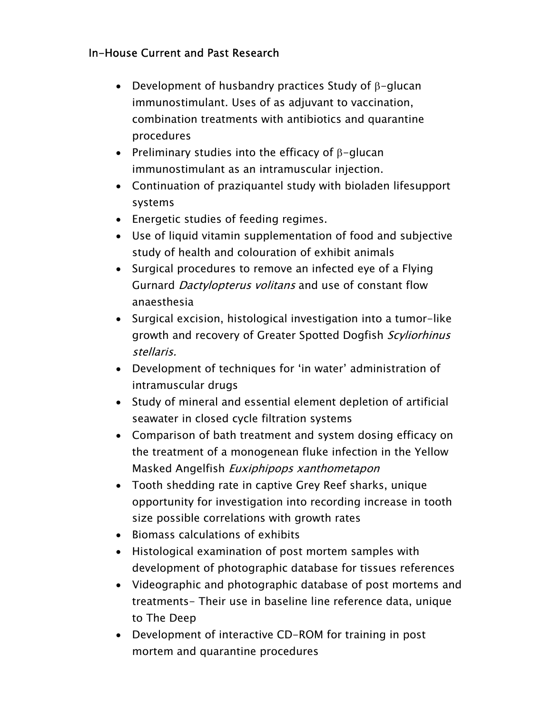# In-House Current and Past Research

- Development of husbandry practices Study of  $\beta$ –glucan immunostimulant. Uses of as adjuvant to vaccination, combination treatments with antibiotics and quarantine procedures
- $\bullet$  Preliminary studies into the efficacy of <code>β–glucan</code> immunostimulant as an intramuscular injection.
- Continuation of praziquantel study with bioladen lifesupport systems
- Energetic studies of feeding regimes.
- Use of liquid vitamin supplementation of food and subjective study of health and colouration of exhibit animals
- Surgical procedures to remove an infected eye of a Flying Gurnard Dactylopterus volitans and use of constant flow anaesthesia
- Surgical excision, histological investigation into a tumor-like growth and recovery of Greater Spotted Dogfish Scyliorhinus stellaris.
- Development of techniques for 'in water' administration of intramuscular drugs
- Study of mineral and essential element depletion of artificial seawater in closed cycle filtration systems
- Comparison of bath treatment and system dosing efficacy on the treatment of a monogenean fluke infection in the Yellow Masked Angelfish Euxiphipops xanthometapon
- Tooth shedding rate in captive Grey Reef sharks, unique opportunity for investigation into recording increase in tooth size possible correlations with growth rates
- Biomass calculations of exhibits
- Histological examination of post mortem samples with development of photographic database for tissues references
- Videographic and photographic database of post mortems and treatments- Their use in baseline line reference data, unique to The Deep
- Development of interactive CD-ROM for training in post mortem and quarantine procedures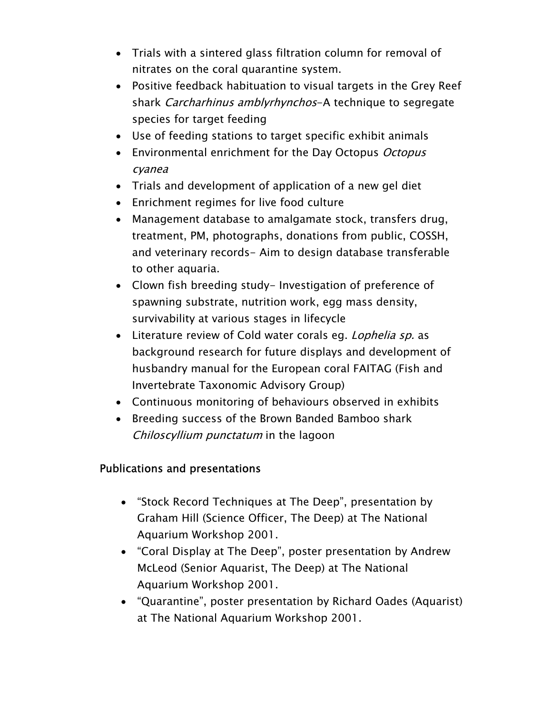- Trials with a sintered glass filtration column for removal of nitrates on the coral quarantine system.
- Positive feedback habituation to visual targets in the Grey Reef shark Carcharhinus amblyrhynchos-A technique to segregate species for target feeding
- Use of feeding stations to target specific exhibit animals
- Environmental enrichment for the Day Octopus Octopus cyanea
- Trials and development of application of a new gel diet
- Enrichment regimes for live food culture
- Management database to amalgamate stock, transfers drug, treatment, PM, photographs, donations from public, COSSH, and veterinary records- Aim to design database transferable to other aquaria.
- Clown fish breeding study- Investigation of preference of spawning substrate, nutrition work, egg mass density, survivability at various stages in lifecycle
- Literature review of Cold water corals eg. *Lophelia sp.* as background research for future displays and development of husbandry manual for the European coral FAITAG (Fish and Invertebrate Taxonomic Advisory Group)
- Continuous monitoring of behaviours observed in exhibits
- Breeding success of the Brown Banded Bamboo shark Chiloscyllium punctatum in the lagoon

# Publications and presentations

- "Stock Record Techniques at The Deep", presentation by Graham Hill (Science Officer, The Deep) at The National Aquarium Workshop 2001.
- "Coral Display at The Deep", poster presentation by Andrew McLeod (Senior Aquarist, The Deep) at The National Aquarium Workshop 2001.
- "Quarantine", poster presentation by Richard Oades (Aquarist) at The National Aquarium Workshop 2001.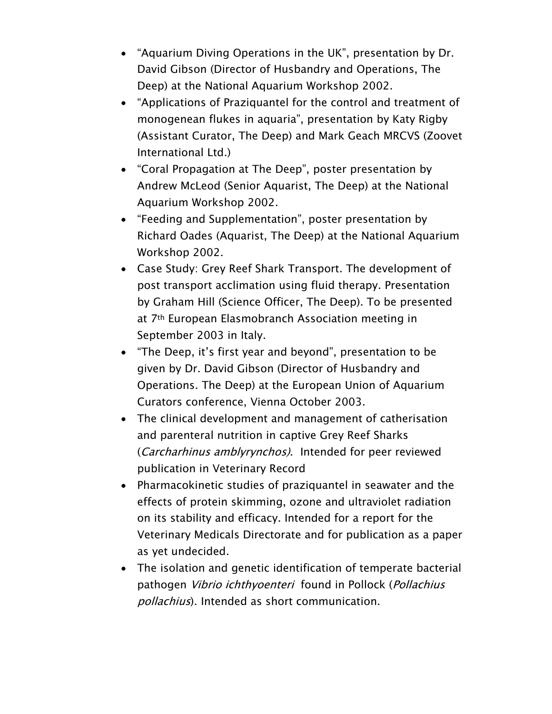- "Aquarium Diving Operations in the UK", presentation by Dr. David Gibson (Director of Husbandry and Operations, The Deep) at the National Aquarium Workshop 2002.
- "Applications of Praziquantel for the control and treatment of monogenean flukes in aquaria", presentation by Katy Rigby (Assistant Curator, The Deep) and Mark Geach MRCVS (Zoovet International Ltd.)
- "Coral Propagation at The Deep", poster presentation by Andrew McLeod (Senior Aquarist, The Deep) at the National Aquarium Workshop 2002.
- "Feeding and Supplementation", poster presentation by Richard Oades (Aquarist, The Deep) at the National Aquarium Workshop 2002.
- Case Study: Grey Reef Shark Transport. The development of post transport acclimation using fluid therapy. Presentation by Graham Hill (Science Officer, The Deep). To be presented at 7<sup>th</sup> European Elasmobranch Association meeting in September 2003 in Italy.
- "The Deep, it's first year and beyond", presentation to be given by Dr. David Gibson (Director of Husbandry and Operations. The Deep) at the European Union of Aquarium Curators conference, Vienna October 2003.
- The clinical development and management of catherisation and parenteral nutrition in captive Grey Reef Sharks (Carcharhinus amblyrynchos). Intended for peer reviewed publication in Veterinary Record
- Pharmacokinetic studies of praziquantel in seawater and the effects of protein skimming, ozone and ultraviolet radiation on its stability and efficacy. Intended for a report for the Veterinary Medicals Directorate and for publication as a paper as yet undecided.
- The isolation and genetic identification of temperate bacterial pathogen Vibrio ichthyoenteri found in Pollock (Pollachius pollachius). Intended as short communication.